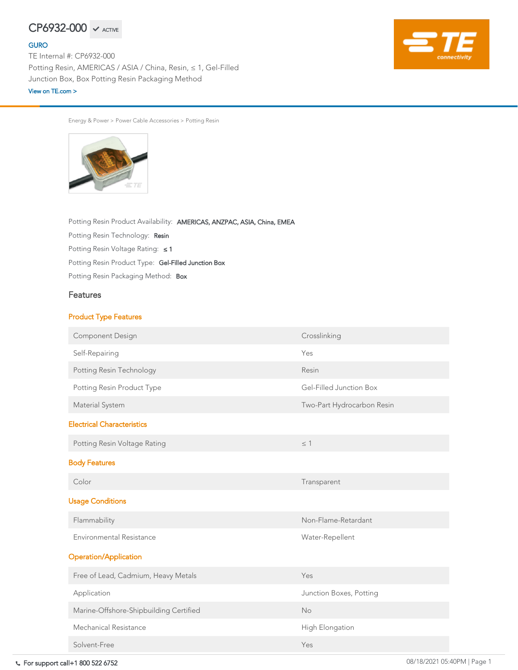Energy & Power > Power Cable Accessories > Potting Resin



Potting Resin Packaging Method: Box Potting Resin Product Type: Gel-Filled Junction Box Potting Resin Voltage Rating: ≤ 1 Potting Resin Technology: Resin Potting Resin Product Availability: AMERICAS, ANZPAC, ASIA, China, EMEA

## Features

## Product Type Features

| <b>Component Design</b>         | Crosslinking |
|---------------------------------|--------------|
| Self-Repairing                  | Yes          |
| <b>Potting Resin Technology</b> | Resin        |

For support call+1 800 522 6752 08/18/2021 05:40PM | Page 1 Halogen Free Yes

| Potting Resin Product Type             | Gel-Filled Junction Box    |
|----------------------------------------|----------------------------|
| Material System                        | Two-Part Hydrocarbon Resin |
| <b>Electrical Characteristics</b>      |                            |
| Potting Resin Voltage Rating           | $\leq$ 1                   |
| <b>Body Features</b>                   |                            |
| Color                                  | Transparent                |
| <b>Usage Conditions</b>                |                            |
| Flammability                           | Non-Flame-Retardant        |
| <b>Environmental Resistance</b>        | Water-Repellent            |
| <b>Operation/Application</b>           |                            |
| Free of Lead, Cadmium, Heavy Metals    | Yes                        |
| Application                            | Junction Boxes, Potting    |
| Marine-Offshore-Shipbuilding Certified | <b>No</b>                  |
| <b>Mechanical Resistance</b>           | <b>High Elongation</b>     |
| Solvent-Free                           | Yes                        |

# $CP6932-000 \times$  ACTIVE

## [GURO](https://www.te.com/usa-en/plp/Znbe.html)

TE Internal #: CP6932-000 Potting Resin, AMERICAS / ASIA / China, Resin, ≤ 1, Gel-Filled Junction Box, Box Potting Resin Packaging Method [View on TE.com >](https://www.te.com/usa-en/product-CP6932-000.html)

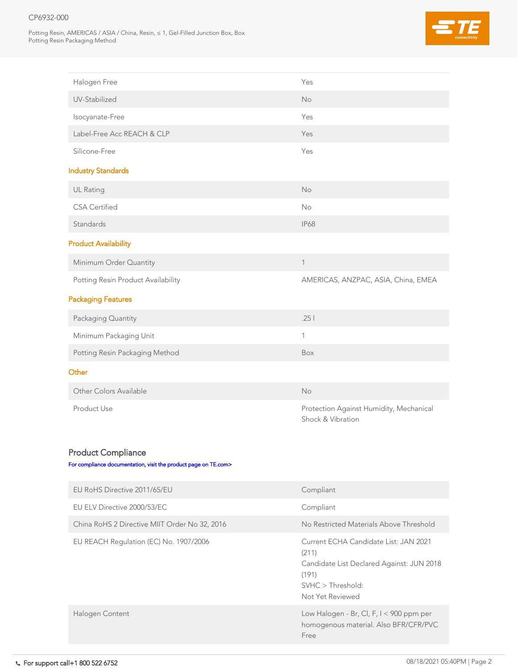## CP6932-000

Potting Resin, AMERICAS / ASIA / China, Resin, ≤ 1, Gel-Filled Junction Box, Box Potting Resin Packaging Method



Product Use Protection Against Humidity, Mechanical Shock & Vibration

| Halogen Free                       | Yes                                 |
|------------------------------------|-------------------------------------|
| UV-Stabilized                      | <b>No</b>                           |
| Isocyanate-Free                    | Yes                                 |
| Label-Free Acc REACH & CLP         | Yes                                 |
| Silicone-Free                      | Yes                                 |
| <b>Industry Standards</b>          |                                     |
| <b>UL Rating</b>                   | No                                  |
| <b>CSA Certified</b>               | <b>No</b>                           |
| Standards                          | <b>IP68</b>                         |
| <b>Product Availability</b>        |                                     |
| Minimum Order Quantity             |                                     |
| Potting Resin Product Availability | AMERICAS, ANZPAC, ASIA, China, EMEA |
| <b>Packaging Features</b>          |                                     |
| Packaging Quantity                 | .25                                 |
| Minimum Packaging Unit             | 1                                   |
| Potting Resin Packaging Method     | Box                                 |
|                                    |                                     |

### **Other**

Other Colors Available No

## Product Compliance

[For compliance documentation, visit the product page on TE.com>](https://www.te.com/usa-en/product-CP6932-000.html)

| EU RoHS Directive 2011/65/EU                  | Compliant                                                                                                                                     |
|-----------------------------------------------|-----------------------------------------------------------------------------------------------------------------------------------------------|
| EU ELV Directive 2000/53/EC                   | Compliant                                                                                                                                     |
| China RoHS 2 Directive MIIT Order No 32, 2016 | No Restricted Materials Above Threshold                                                                                                       |
| EU REACH Regulation (EC) No. 1907/2006        | Current ECHA Candidate List: JAN 2021<br>(211)<br>Candidate List Declared Against: JUN 2018<br>(191)<br>SVHC > Threshold:<br>Not Yet Reviewed |
| Halogen Content                               | Low Halogen - Br, Cl, F, $I < 900$ ppm per<br>homogenous material. Also BFR/CFR/PVC<br>Free                                                   |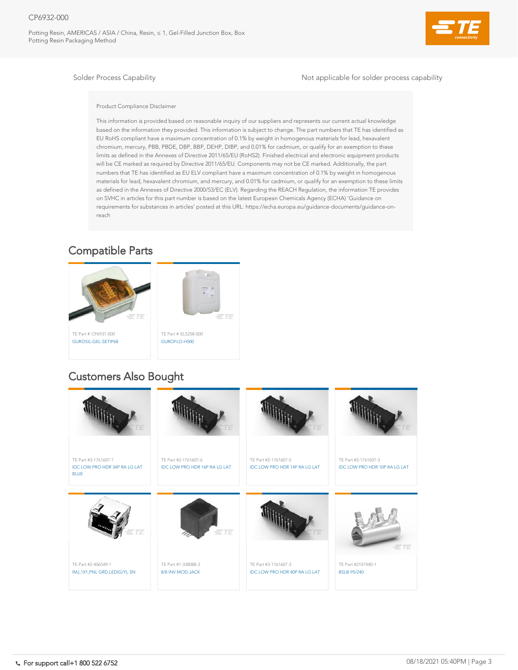## CP6932-000

Potting Resin, AMERICAS / ASIA / China, Resin, ≤ 1, Gel-Filled Junction Box, Box Potting Resin Packaging Method



Solder Process Capability and Solder Process capability and Solder process capability

Product Compliance Disclaimer

This information is provided based on reasonable inquiry of our suppliers and represents our current actual knowledge based on the information they provided. This information is subject to change. The part numbers that TE has identified as EU RoHS compliant have a maximum concentration of 0.1% by weight in homogenous materials for lead, hexavalent chromium, mercury, PBB, PBDE, DBP, BBP, DEHP, DIBP, and 0.01% for cadmium, or qualify for an exemption to these limits as defined in the Annexes of Directive 2011/65/EU (RoHS2). Finished electrical and electronic equipment products will be CE marked as required by Directive 2011/65/EU. Components may not be CE marked. Additionally, the part numbers that TE has identified as EU ELV compliant have a maximum concentration of 0.1% by weight in homogenous materials for lead, hexavalent chromium, and mercury, and 0.01% for cadmium, or qualify for an exemption to these limits as defined in the Annexes of Directive 2000/53/EC (ELV). Regarding the REACH Regulation, the information TE provides on SVHC in articles for this part number is based on the latest European Chemicals Agency (ECHA) 'Guidance on requirements for substances in articles' posted at this URL: https://echa.europa.eu/guidance-documents/guidance-onreach





# Compatible Parts

# Customers Also Bought